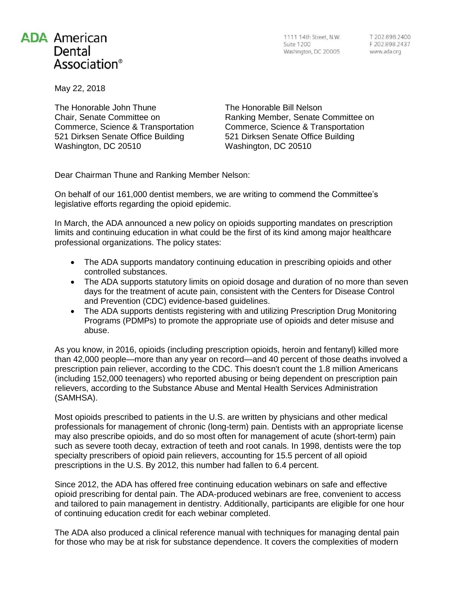## **ADA American** Dental Association<sup>®</sup>

1111 14th Street, N.W. Suite 1200 Washington, DC 20005 www.ada.org

May 22, 2018

The Honorable John Thune Chair, Senate Committee on Commerce, Science & Transportation 521 Dirksen Senate Office Building Washington, DC 20510

The Honorable Bill Nelson Ranking Member, Senate Committee on Commerce, Science & Transportation 521 Dirksen Senate Office Building Washington, DC 20510

Dear Chairman Thune and Ranking Member Nelson:

On behalf of our 161,000 dentist members, we are writing to commend the Committee's legislative efforts regarding the opioid epidemic.

In March, the ADA announced a new policy on opioids supporting mandates on prescription limits and continuing education in what could be the first of its kind among major healthcare professional organizations. The policy states:

- The ADA supports mandatory continuing education in prescribing opioids and other controlled substances.
- The ADA supports statutory limits on opioid dosage and duration of no more than seven days for the treatment of acute pain, consistent with the Centers for Disease Control and Prevention (CDC) evidence-based guidelines.
- The ADA supports dentists registering with and utilizing Prescription Drug Monitoring Programs (PDMPs) to promote the appropriate use of opioids and deter misuse and abuse.

As you know, in 2016, opioids (including prescription opioids, heroin and fentanyl) killed more than 42,000 people—more than any year on record—and 40 percent of those deaths involved a prescription pain reliever, according to the CDC. This doesn't count the 1.8 million Americans (including 152,000 teenagers) who reported abusing or being dependent on prescription pain relievers, according to the Substance Abuse and Mental Health Services Administration (SAMHSA).

Most opioids prescribed to patients in the U.S. are written by physicians and other medical professionals for management of chronic (long-term) pain. Dentists with an appropriate license may also prescribe opioids, and do so most often for management of acute (short-term) pain such as severe tooth decay, extraction of teeth and root canals. In 1998, dentists were the top specialty prescribers of opioid pain relievers, accounting for 15.5 percent of all opioid prescriptions in the U.S. By 2012, this number had fallen to 6.4 percent.

Since 2012, the ADA has offered free continuing education webinars on safe and effective opioid prescribing for dental pain. The ADA-produced webinars are free, convenient to access and tailored to pain management in dentistry. Additionally, participants are eligible for one hour of continuing education credit for each webinar completed.

The ADA also produced a clinical reference manual with techniques for managing dental pain for those who may be at risk for substance dependence. It covers the complexities of modern